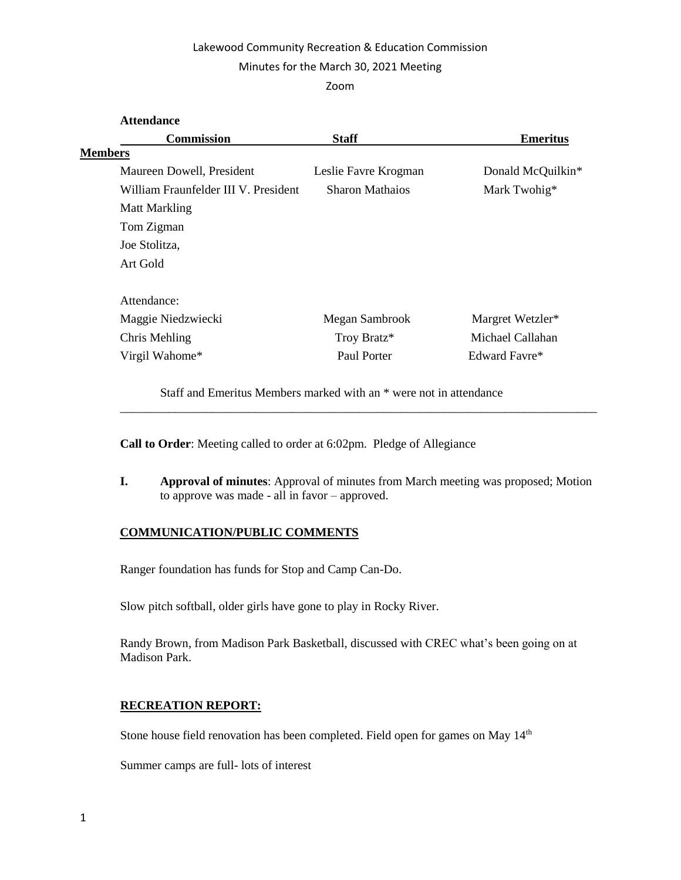# Lakewood Community Recreation & Education Commission

## Minutes for the March 30, 2021 Meeting

### Zoom

| <b>Attendance</b>                    |                        |                   |
|--------------------------------------|------------------------|-------------------|
| <b>Commission</b>                    | <b>Staff</b>           | <b>Emeritus</b>   |
| <b>Members</b>                       |                        |                   |
| Maureen Dowell, President            | Leslie Favre Krogman   | Donald McQuilkin* |
| William Fraunfelder III V. President | <b>Sharon Mathaios</b> | Mark Twohig*      |
| <b>Matt Markling</b>                 |                        |                   |
| Tom Zigman                           |                        |                   |
| Joe Stolitza,                        |                        |                   |
| Art Gold                             |                        |                   |
| Attendance:                          |                        |                   |
| Maggie Niedzwiecki                   | Megan Sambrook         | Margret Wetzler*  |
| Chris Mehling                        | Troy Bratz*            | Michael Callahan  |
| Virgil Wahome*                       | Paul Porter            | Edward Favre*     |
|                                      |                        |                   |

Staff and Emeritus Members marked with an \* were not in attendance

**Call to Order**: Meeting called to order at 6:02pm. Pledge of Allegiance

**I. Approval of minutes**: Approval of minutes from March meeting was proposed; Motion to approve was made - all in favor – approved.

\_\_\_\_\_\_\_\_\_\_\_\_\_\_\_\_\_\_\_\_\_\_\_\_\_\_\_\_\_\_\_\_\_\_\_\_\_\_\_\_\_\_\_\_\_\_\_\_\_\_\_\_\_\_\_\_\_\_\_\_\_\_\_\_\_\_\_\_\_\_\_\_\_\_\_\_\_\_

# **COMMUNICATION/PUBLIC COMMENTS**

Ranger foundation has funds for Stop and Camp Can-Do.

Slow pitch softball, older girls have gone to play in Rocky River.

Randy Brown, from Madison Park Basketball, discussed with CREC what's been going on at Madison Park.

# **RECREATION REPORT:**

Stone house field renovation has been completed. Field open for games on May 14<sup>th</sup>

Summer camps are full- lots of interest